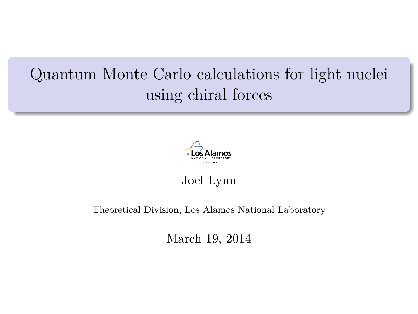# Quantum Monte Carlo calculations for light nuclei using chiral forces



Joel Lynn

#### Theoretical Division, Los Alamos National Laboratory

March 19, 2014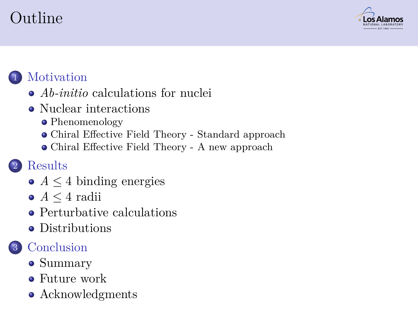# Outline



#### **[Motivation](#page-2-0)**

- *Ab-initio* [calculations for nuclei](#page-2-0)
- [Nuclear interactions](#page-7-0)
	- [Phenomenology](#page-9-0)
	- [Chiral Effective Field Theory Standard approach](#page-12-0)
	- [Chiral Effective Field Theory A new approach](#page-15-0)

#### **[Results](#page-20-0)**

- *A* ≤ [4 binding energies](#page-20-0)
- $\bullet$  *A* < [4 radii](#page-27-0)
- **•** [Perturbative calculations](#page-27-0)
- [Distributions](#page-29-0)

#### **[Conclusion](#page-32-0)**

- [Summary](#page-32-0)
- [Future work](#page-33-0)
- [Acknowledgments](#page-34-0)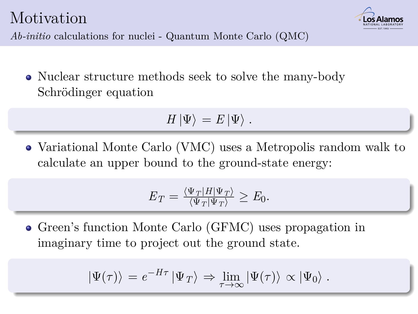

*Ab-initio* calculations for nuclei - Quantum Monte Carlo (QMC)

Nuclear structure methods seek to solve the many-body Schrödinger equation

$$
H\left|\Psi\right\rangle =E\left|\Psi\right\rangle .
$$

Variational Monte Carlo (VMC) uses a Metropolis random walk to calculate an upper bound to the ground-state energy:

$$
E_T = \frac{\langle \Psi_T | H | \Psi_T \rangle}{\langle \Psi_T | \Psi_T \rangle} \ge E_0.
$$

<span id="page-2-0"></span>Green's function Monte Carlo (GFMC) uses propagation in imaginary time to project out the ground state.

$$
|\Psi(\tau)\rangle = e^{-H\tau} |\Psi_T\rangle \Rightarrow \lim_{\tau \to \infty} |\Psi(\tau)\rangle \propto |\Psi_0\rangle .
$$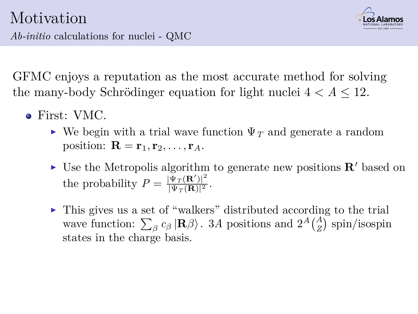

GFMC enjoys a reputation as the most accurate method for solving the many-body Schrödinger equation for light nuclei  $4 < A \leq 12$ .

- First: VMC.
	- $\triangleright$  We begin with a trial wave function  $\Psi_T$  and generate a random position:  $\mathbf{R} = \mathbf{r}_1, \mathbf{r}_2, \ldots, \mathbf{r}_A$ .
	- If Use the Metropolis algorithm to generate new positions  $\mathbf{R}'$  based on the probability  $P = \frac{|\Psi_T(\mathbf{R}')|^2}{|\Psi_T(\mathbf{R})|^2}$  $\frac{\Psi_T(\mathbf{R})}{|\Psi_T(\mathbf{R})|^2}$ .
	- $\triangleright$  This gives us a set of "walkers" distributed according to the trial wave function:  $\sum_{\beta} c_{\beta} | \mathbf{R} \beta \rangle$ . 3*A* positions and  $2^A {A \choose Z}$  spin/isospin states in the charge basis.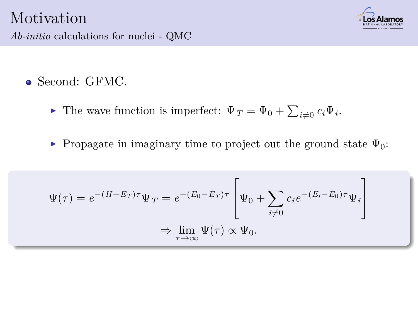

*Ab-initio* calculations for nuclei - QMC

Second: GFMC.

- **F** The wave function is imperfect:  $\Psi_T = \Psi_0 + \sum_{i \neq 0} c_i \Psi_i$ .
- **Propagate in imaginary time to project out the ground state**  $\Psi_0$ **:**

$$
\Psi(\tau) = e^{-(H-E_T)\tau} \Psi_T = e^{-(E_0 - E_T)\tau} \left[ \Psi_0 + \sum_{i \neq 0} c_i e^{-(E_i - E_0)\tau} \Psi_i \right]
$$
  

$$
\Rightarrow \lim_{\tau \to \infty} \Psi(\tau) \propto \Psi_0.
$$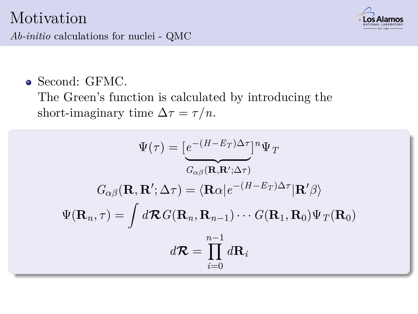*Ab-initio* calculations for nuclei - QMC



Second: GFMC.

The Green's function is calculated by introducing the short-imaginary time  $\Delta \tau = \tau / n$ .

$$
\Psi(\tau) = \left[\frac{e^{-(H-E_T)\Delta\tau}}{G_{\alpha\beta}(\mathbf{R}, \mathbf{R}'; \Delta\tau)}\right]^n \Psi_T
$$

$$
G_{\alpha\beta}(\mathbf{R}, \mathbf{R}'; \Delta\tau) = \langle \mathbf{R}\alpha|e^{-(H-E_T)\Delta\tau}|\mathbf{R}'\beta\rangle
$$

$$
\Psi(\mathbf{R}_n, \tau) = \int d\mathcal{R} G(\mathbf{R}_n, \mathbf{R}_{n-1}) \cdots G(\mathbf{R}_1, \mathbf{R}_0) \Psi_T(\mathbf{R}_0)
$$

$$
d\mathcal{R} = \prod_{i=0}^{n-1} d\mathbf{R}_i
$$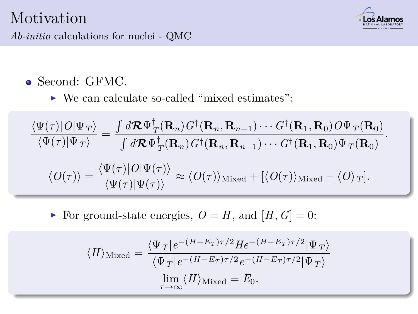

*Ab-initio* calculations for nuclei - QMC

- Second: GFMC.
	- ► We can calculate so-called "mixed estimates":

$$
\frac{\langle \Psi(\tau)|O|\Psi_{T}\rangle}{\langle \Psi(\tau)|\Psi_{T}\rangle} = \frac{\int d\mathbf{R}\Psi_{T}^{\dagger}(\mathbf{R}_{n})G^{\dagger}(\mathbf{R}_{n},\mathbf{R}_{n-1})\cdots G^{\dagger}(\mathbf{R}_{1},\mathbf{R}_{0})O\Psi_{T}(\mathbf{R}_{0})}{\int d\mathbf{R}\Psi_{T}^{\dagger}(\mathbf{R}_{n})G^{\dagger}(\mathbf{R}_{n},\mathbf{R}_{n-1})\cdots G^{\dagger}(\mathbf{R}_{1},\mathbf{R}_{0})\Psi_{T}(\mathbf{R}_{0})}.
$$

$$
\langle O(\tau)\rangle = \frac{\langle \Psi(\tau)|O|\Psi(\tau)\rangle}{\langle \Psi(\tau)|\Psi(\tau)\rangle} \approx \langle O(\tau)\rangle_{\text{Mixed}} + [\langle O(\tau)\rangle_{\text{Mixed}} - \langle O\rangle_{T}].
$$

For ground-state energies,  $O = H$ , and  $[H, G] = 0$ :

$$
\langle H \rangle_{\text{Mixed}} = \frac{\langle \Psi_T | e^{-(H - E_T) \tau/2} H e^{-(H - E_T) \tau/2} | \Psi_T \rangle}{\langle \Psi_T | e^{-(H - E_T) \tau/2} e^{-(H - E_T) \tau/2} | \Psi_T \rangle}
$$
  

$$
\lim_{\tau \to \infty} \langle H \rangle_{\text{Mixed}} = E_0.
$$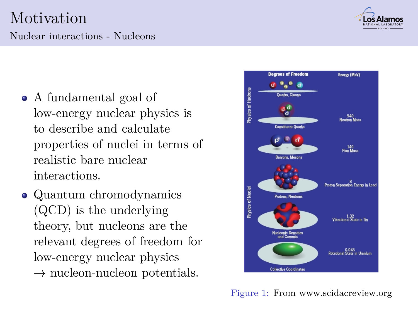#### Nuclear interactions - Nucleons

- A fundamental goal of low-energy nuclear physics is to describe and calculate properties of nuclei in terms of realistic bare nuclear interactions.
- <span id="page-7-0"></span>• Quantum chromodynamics (QCD) is the underlying theory, but nucleons are the relevant degrees of freedom for low-energy nuclear physics  $\rightarrow$  nucleon-nucleon potentials.

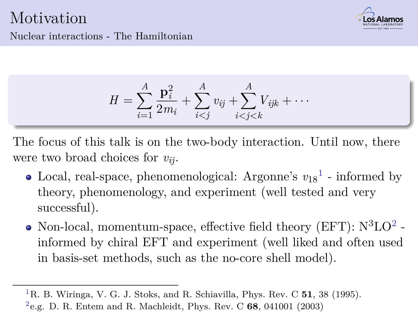

Nuclear interactions - The Hamiltonian

$$
H = \sum_{i=1}^{A} \frac{\mathbf{p}_i^2}{2m_i} + \sum_{i < j}^{A} v_{ij} + \sum_{i < j < k}^{A} V_{ijk} + \cdots
$$

The focus of this talk is on the two-body interaction. Until now, there were two broad choices for *vij*.

- Local, real-space, phenomenological: Argonne's  $v_{18}$ <sup>1</sup> informed by theory, phenomenology, and experiment (well tested and very successful).
- Non-local, momentum-space, effective field theory (EFT):  $N^3LO^2$  informed by chiral EFT and experiment (well liked and often used in basis-set methods, such as the no-core shell model).

<sup>1</sup>R. B. Wiringa, V. G. J. Stoks, and R. Schiavilla, Phys. Rev. C **51**, 38 (1995).

<sup>2</sup>e.g. D. R. Entem and R. Machleidt, Phys. Rev. C **68**, 041001 (2003)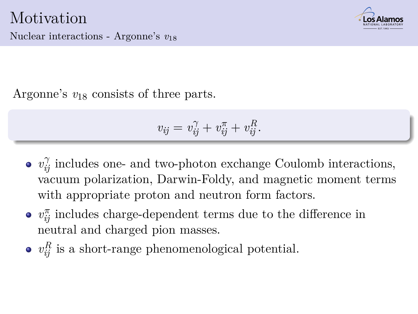

Nuclear interactions - Argonne's *v*<sup>18</sup>

Argonne's *v*<sup>18</sup> consists of three parts.

$$
v_{ij} = v_{ij}^{\gamma} + v_{ij}^{\pi} + v_{ij}^R.
$$

- $v_{ij}^{\gamma}$  includes one- and two-photon exchange Coulomb interactions, vacuum polarization, Darwin-Foldy, and magnetic moment terms with appropriate proton and neutron form factors.
- $v_{ij}^{\pi}$  includes charge-dependent terms due to the difference in neutral and charged pion masses.
- <span id="page-9-0"></span> $v_{ij}^R$  is a short-range phenomenological potential.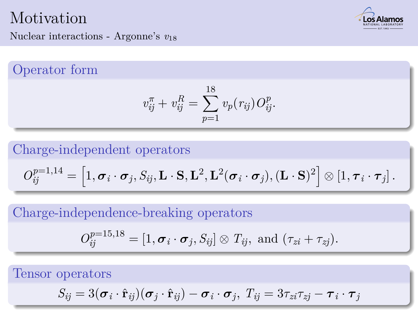

Nuclear interactions - Argonne's *v*<sup>18</sup>

Operator form

$$
v_{ij}^{\pi} + v_{ij}^R = \sum_{p=1}^{18} v_p(r_{ij}) O_{ij}^p.
$$

Charge-independent operators

$$
O_{ij}^{p=1,14} = \left[1, \boldsymbol{\sigma}_i \cdot \boldsymbol{\sigma}_j, S_{ij}, \mathbf{L} \cdot \mathbf{S}, \mathbf{L}^2, \mathbf{L}^2(\boldsymbol{\sigma}_i \cdot \boldsymbol{\sigma}_j), (\mathbf{L} \cdot \mathbf{S})^2\right] \otimes \left[1, \boldsymbol{\tau}_i \cdot \boldsymbol{\tau}_j\right].
$$

Charge-independence-breaking operators

$$
O_{ij}^{p=15,18}=[1,\boldsymbol{\sigma}_i\cdot\boldsymbol{\sigma}_j,S_{ij}]\otimes T_{ij},\text{ and }(\tau_{zi}+\tau_{zj}).
$$

Tensor operators

$$
S_{ij} = 3(\boldsymbol{\sigma}_i \cdot \hat{\mathbf{r}}_{ij})(\boldsymbol{\sigma}_j \cdot \hat{\mathbf{r}}_{ij}) - \boldsymbol{\sigma}_i \cdot \boldsymbol{\sigma}_j, T_{ij} = 3\tau_{zi}\tau_{zj} - \boldsymbol{\tau}_i \cdot \boldsymbol{\tau}_j
$$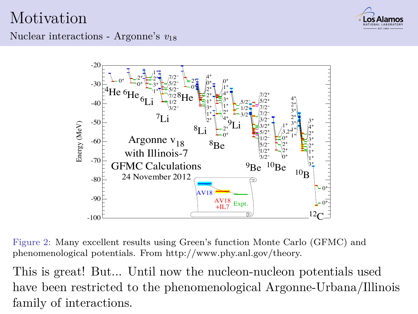

Nuclear interactions - Argonne's *v*<sup>18</sup>



Figure 2: Many excellent results using Green's function Monte Carlo (GFMC) and phenomenological potentials. From http://www.phy.anl.gov/theory.

This is great! But... Until now the nucleon-nucleon potentials used have been restricted to the phenomenological Argonne-Urbana/Illinois family of interactions.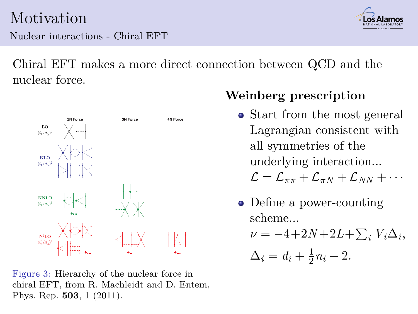Nuclear interactions - Chiral EFT



Chiral EFT makes a more direct connection between QCD and the nuclear force.



<span id="page-12-0"></span>Figure 3: Hierarchy of the nuclear force in chiral EFT, from R. Machleidt and D. Entem, Phys. Rep. **503**, 1 (2011).

#### **Weinberg prescription**

• Start from the most general Lagrangian consistent with all symmetries of the underlying interaction...

 $\mathcal{L} = \mathcal{L}_{\pi\pi} + \mathcal{L}_{\pi N} + \mathcal{L}_{NN} + \cdots$ 

• Define a power-counting scheme...

$$
\nu = -4 + 2N + 2L + \sum_i V_i \Delta_i,
$$

$$
\Delta_i = d_i + \frac{1}{2}n_i - 2.
$$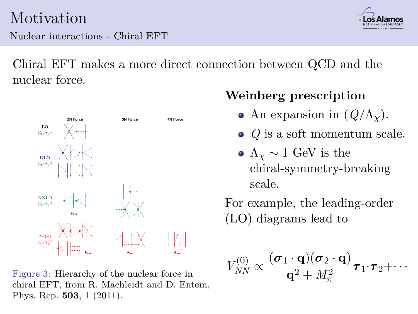Nuclear interactions - Chiral EFT



Chiral EFT makes a more direct connection between QCD and the nuclear force.



Figure 3: Hierarchy of the nuclear force in chiral EFT, from R. Machleidt and D. Entem, Phys. Rep. **503**, 1 (2011).

### **Weinberg prescription**

- An expansion in  $(Q/\Lambda_{\rm v})$ .
- *Q* is a soft momentum scale.
- $\Lambda_{\gamma} \sim 1$  GeV is the chiral-symmetry-breaking scale.

For example, the leading-order (LO) diagrams lead to

$$
V_{NN}^{(0)} \propto \frac{(\boldsymbol{\sigma}_1 \cdot \mathbf{q})(\boldsymbol{\sigma}_2 \cdot \mathbf{q})}{\mathbf{q}^2 + M_{\pi}^2} \boldsymbol{\tau}_1 \cdot \boldsymbol{\tau}_2 + \cdots
$$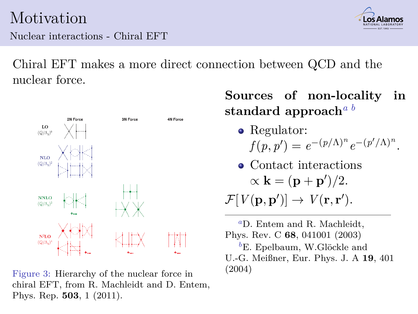Nuclear interactions - Chiral EFT



Chiral EFT makes a more direct connection between QCD and the nuclear force.



Figure 3: Hierarchy of the nuclear force in chiral EFT, from R. Machleidt and D. Entem, Phys. Rep. **503**, 1 (2011).

**Sources of non-locality in standard approach***<sup>a</sup> <sup>b</sup>*

- Regulator:  $f(p, p') = e^{-(p/\Lambda)^n} e^{-(p'/\Lambda)^n}$ .
- Contact interactions  $\alpha$ **k** =  $(\mathbf{p} + \mathbf{p}')/2$ .

 $\mathcal{F}[V(\mathbf{p}, \mathbf{p}')] \rightarrow V(\mathbf{r}, \mathbf{r}').$ 

*<sup>a</sup>*D. Entem and R. Machleidt, Phys. Rev. C **68**, 041001 (2003) <sup>*b*</sup>E. Epelbaum, W.Glöckle and U.-G. Meißner, Eur. Phys. J. A **19**, 401 (2004)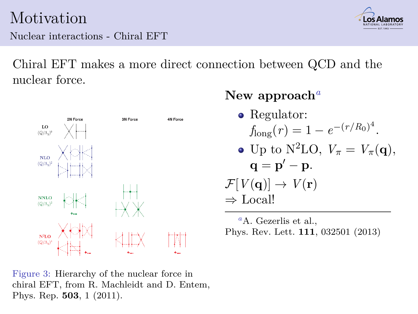Nuclear interactions - Chiral EFT



Chiral EFT makes a more direct connection between QCD and the nuclear force.



#### **New approach***<sup>a</sup>*

• Regulator:  $f_{\text{long}}(r) = 1 - e^{-(r/R_0)^4}.$ • Up to N<sup>2</sup>LO,  $V_\pi = V_\pi(\mathbf{q}),$  $\mathbf{q} = \mathbf{p}' - \mathbf{p}.$  $\mathcal{F}[V(\mathbf{q})] \to V(\mathbf{r})$ ⇒ Local!

*<sup>a</sup>*A. Gezerlis et al., Phys. Rev. Lett. **111**, 032501 (2013)

<span id="page-15-0"></span>Figure 3: Hierarchy of the nuclear force in chiral EFT, from R. Machleidt and D. Entem, Phys. Rep. **503**, 1 (2011).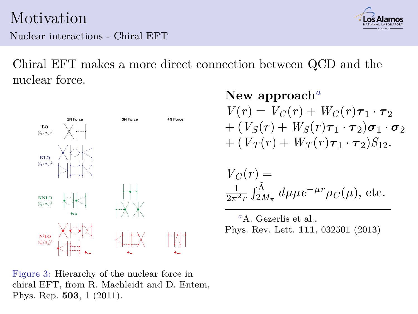Nuclear interactions - Chiral EFT



Chiral EFT makes a more direct connection between QCD and the nuclear force.



**New approach***<sup>a</sup>*  $V(r) = V_C(r) + W_C(r)\tau_1 \cdot \tau_2$  $+(V_S(r) + W_S(r)\boldsymbol{\tau}_1\cdot\boldsymbol{\tau}_2)\boldsymbol{\sigma}_1\cdot\boldsymbol{\sigma}_2$  $+(V_T(r) + W_T(r)\tau_1 \cdot \tau_2)S_{12}.$ 

$$
V_C(r) =
$$
  

$$
\frac{1}{2\pi^2 r} \int_{2M_\pi}^{\tilde{\Lambda}} d\mu \mu e^{-\mu r} \rho_C(\mu)
$$
, etc.

*<sup>a</sup>*A. Gezerlis et al., Phys. Rev. Lett. **111**, 032501 (2013)

Figure 3: Hierarchy of the nuclear force in chiral EFT, from R. Machleidt and D. Entem, Phys. Rep. **503**, 1 (2011).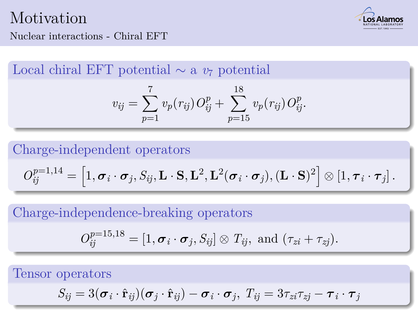

#### Nuclear interactions - Chiral EFT

Local chiral EFT potential ∼ a *v*<sup>7</sup> potential

$$
v_{ij} = \sum_{p=1}^{7} v_p(r_{ij}) O_{ij}^p + \sum_{p=15}^{18} v_p(r_{ij}) O_{ij}^p.
$$

Charge-independent operators

$$
O_{ij}^{p=1,14} = \left[1, \boldsymbol{\sigma}_i \cdot \boldsymbol{\sigma}_j, S_{ij}, \mathbf{L} \cdot \mathbf{S}, \mathbf{L}^2, \mathbf{L}^2(\boldsymbol{\sigma}_i \cdot \boldsymbol{\sigma}_j), (\mathbf{L} \cdot \mathbf{S})^2\right] \otimes \left[1, \boldsymbol{\tau}_i \cdot \boldsymbol{\tau}_j\right].
$$

Charge-independence-breaking operators

$$
O_{ij}^{p=15,18}=[1,\boldsymbol{\sigma}_i\cdot\boldsymbol{\sigma}_j,S_{ij}]\otimes T_{ij},\text{ and }(\tau_{zi}+\tau_{zj}).
$$

Tensor operators

$$
S_{ij} = 3(\boldsymbol{\sigma}_i \cdot \hat{\mathbf{r}}_{ij})(\boldsymbol{\sigma}_j \cdot \hat{\mathbf{r}}_{ij}) - \boldsymbol{\sigma}_i \cdot \boldsymbol{\sigma}_j, T_{ij} = 3\tau_{zi}\tau_{zj} - \boldsymbol{\tau}_i \cdot \boldsymbol{\tau}_j
$$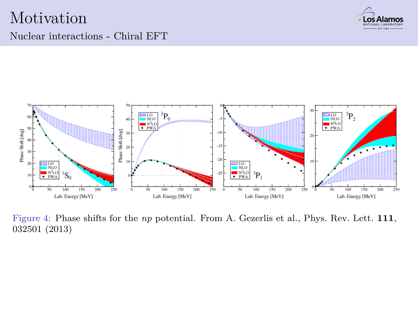

#### Nuclear interactions - Chiral EFT



Figure 4: Phase shifts for the *np* potential. From A. Gezerlis et al., Phys. Rev. Lett. **111**, 032501 (2013)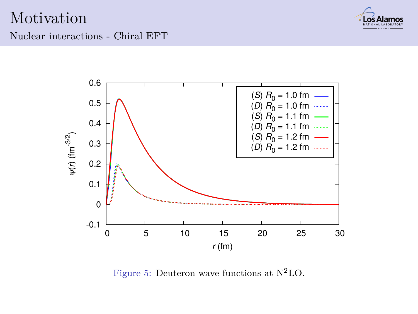

Nuclear interactions - Chiral EFT



Figure 5: Deuteron wave functions at N2LO.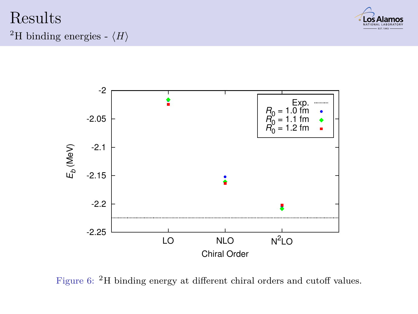#### Results <sup>2</sup>H binding energies -  $\langle H \rangle$





<span id="page-20-0"></span>Figure 6: <sup>2</sup>H binding energy at different chiral orders and cutoff values.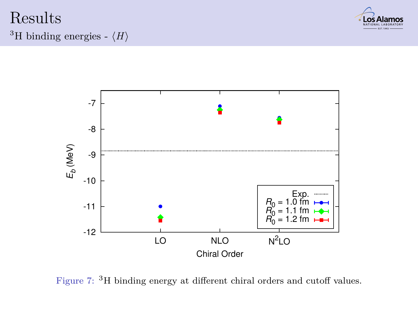#### Results <sup>3</sup>H binding energies -  $\langle H \rangle$





Figure 7: <sup>3</sup>H binding energy at different chiral orders and cutoff values.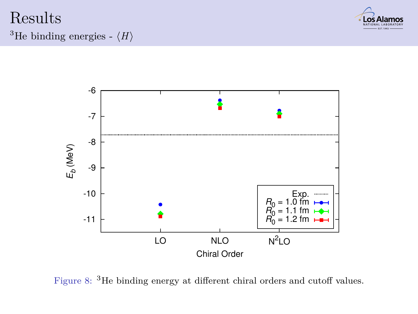#### Results <sup>3</sup>He binding energies -  $\langle H \rangle$





Figure 8: <sup>3</sup>He binding energy at different chiral orders and cutoff values.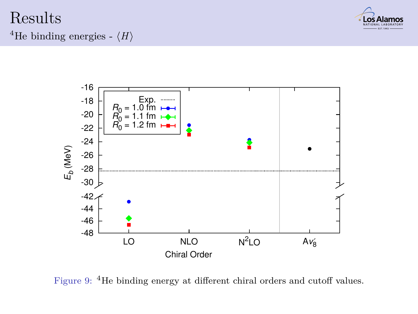#### Results <sup>4</sup>He binding energies -  $\langle H \rangle$





Figure 9: <sup>4</sup>He binding energy at different chiral orders and cutoff values.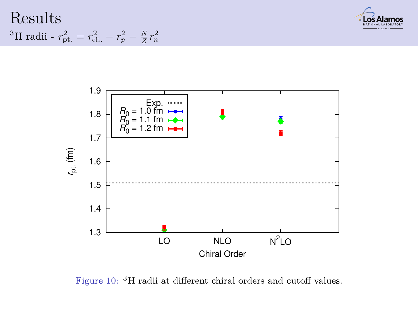Results <sup>3</sup>H radii -  $r_{\rm pt.}^2 = r_{\rm ch.}^2 - r_p^2 - \frac{N}{Z}r_n^2$ 





Figure 10:  $^3\mathrm{H}$  radii at different chiral orders and cutoff values.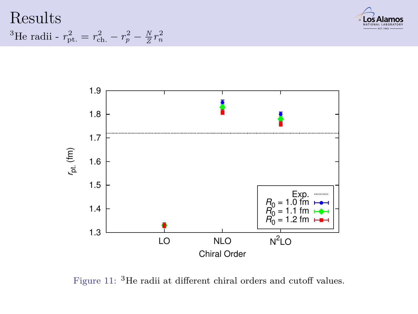





Figure 11: <sup>3</sup>He radii at different chiral orders and cutoff values.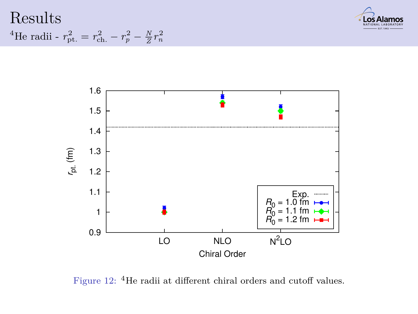





Figure 12: <sup>4</sup>He radii at different chiral orders and cutoff values.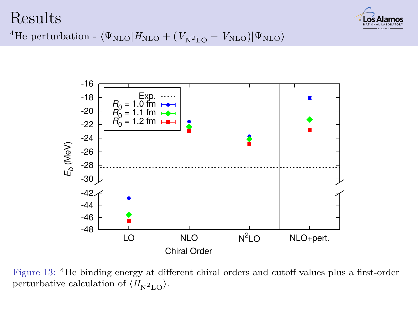#### Results



<sup>4</sup>He perturbation -  $\langle \Psi_{\text{NLO}}|H_{\text{NLO}} + (V_{\text{N}^2\text{LO}} - V_{\text{NLO}})|\Psi_{\text{NLO}}\rangle$ 



<span id="page-27-0"></span>Figure 13: <sup>4</sup>He binding energy at different chiral orders and cutoff values plus a first-order perturbative calculation of  $\langle H_{\rm N^2LO} \rangle$ .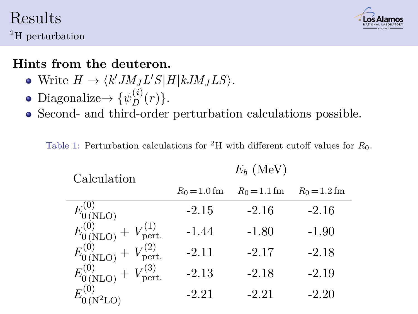#### Results <sup>2</sup>H perturbation



#### **Hints from the deuteron.**

- $W$ rite  $H \to \langle k' J M_J L' S | H | k J M_J L S \rangle$ .
- Diagonalize $\rightarrow \{\psi_D^{(i)}\}$  $D^{(i)}(r)$ .
- Second- and third-order perturbation calculations possible.

Table 1: Perturbation calculations for <sup>2</sup>H with different cutoff values for *R*0.

 $F<sub>i</sub>$  (MeV)

| Calculation                                 | $L_h$ (ivit v) |                |                |
|---------------------------------------------|----------------|----------------|----------------|
|                                             | $R_0 = 1.0$ fm | $R_0 = 1.1$ fm | $R_0 = 1.2$ fm |
| $E_{0(NLO)}^{(0)}$                          | $-2.15$        | $-2.16$        | $-2.16$        |
| $E_{0(NLO)}^{(0)} + V_{\text{pert.}}^{(1)}$ | $-1.44$        | $-1.80$        | $-1.90$        |
| $E_{0(NLO)}^{(0)}+V_{\text{pert.}}^{(2)}$   | $-2.11$        | $-2.17$        | $-2.18$        |
| $E_{0(NLO)}^{(0)}+V_{\text{pert.}}^{(3)}$   | $-2.13$        | $-2.18$        | $-2.19$        |
|                                             | $-2.21$        | $-2.21$        | $-2.20$        |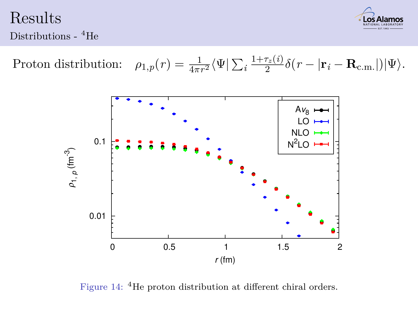Results



Distributions - <sup>4</sup>He

 $Proton$  distribution:  $\frac{1}{4\pi r^2}\langle\Psi|\sum_i\frac{1+\tau_z(i)}{2}$  $\frac{\sigma_z(v)}{2} \delta(r - |\mathbf{r}_i - \mathbf{R}_{\text{c.m.}}|) |\Psi\rangle.$ 



<span id="page-29-0"></span>Figure 14: <sup>4</sup>He proton distribution at different chiral orders.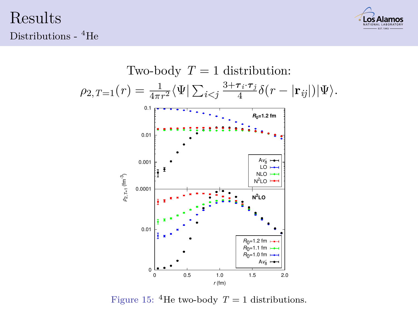Results Distributions - <sup>4</sup>He





Figure 15: <sup>4</sup>He two-body  $T = 1$  distributions.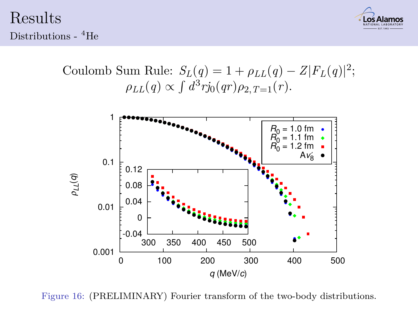Results Distributions - <sup>4</sup>He







Figure 16: (PRELIMINARY) Fourier transform of the two-body distributions.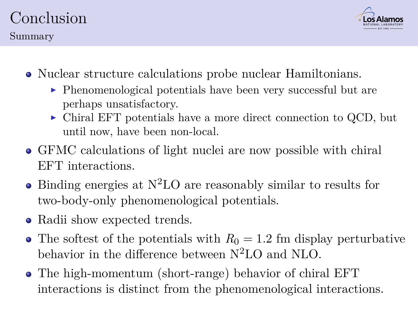# Conclusion



- Nuclear structure calculations probe nuclear Hamiltonians.
	- $\blacktriangleright$  Phenomenological potentials have been very successful but are perhaps unsatisfactory.
	- $\triangleright$  Chiral EFT potentials have a more direct connection to QCD, but until now, have been non-local.
- GFMC calculations of light nuclei are now possible with chiral EFT interactions.
- $\bullet$  Binding energies at N<sup>2</sup>LO are reasonably similar to results for two-body-only phenomenological potentials.
- Radii show expected trends.
- The softest of the potentials with  $R_0 = 1.2$  fm display perturbative behavior in the difference between N2LO and NLO.
- <span id="page-32-0"></span>The high-momentum (short-range) behavior of chiral EFT interactions is distinct from the phenomenological interactions.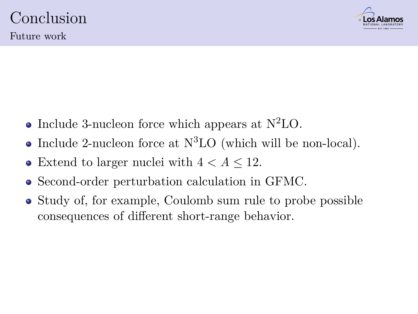

Future work

- Include 3-nucleon force which appears at  $N^2LO$ .
- Include 2-nucleon force at  $N<sup>3</sup>LO$  (which will be non-local).
- Extend to larger nuclei with  $4 < A \leq 12$ .
- Second-order perturbation calculation in GFMC.
- <span id="page-33-0"></span>• Study of, for example, Coulomb sum rule to probe possible consequences of different short-range behavior.